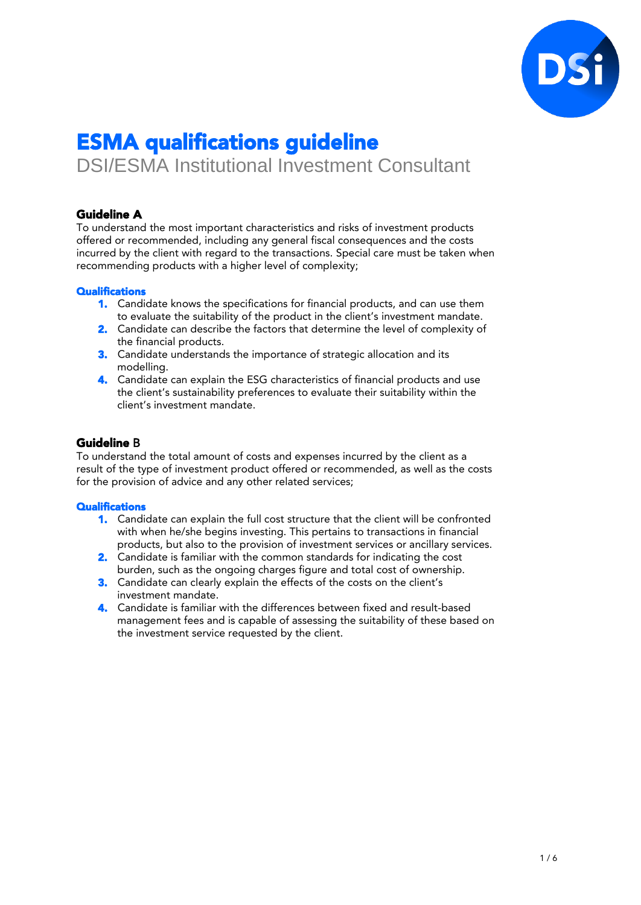

# ESMA qualifications guideline

DSI/ESMA Institutional Investment Consultant

# Guideline A

To understand the most important characteristics and risks of investment products offered or recommended, including any general fiscal consequences and the costs incurred by the client with regard to the transactions. Special care must be taken when recommending products with a higher level of complexity;

# **Qualifications**

- 1. Candidate knows the specifications for financial products, and can use them to evaluate the suitability of the product in the client's investment mandate.
- 2. Candidate can describe the factors that determine the level of complexity of the financial products.
- 3. Candidate understands the importance of strategic allocation and its modelling.
- 4. Candidate can explain the ESG characteristics of financial products and use the client's sustainability preferences to evaluate their suitability within the client's investment mandate.

# Guideline B

To understand the total amount of costs and expenses incurred by the client as a result of the type of investment product offered or recommended, as well as the costs for the provision of advice and any other related services;

- 1. Candidate can explain the full cost structure that the client will be confronted with when he/she begins investing. This pertains to transactions in financial products, but also to the provision of investment services or ancillary services.
- 2. Candidate is familiar with the common standards for indicating the cost burden, such as the ongoing charges figure and total cost of ownership.
- 3. Candidate can clearly explain the effects of the costs on the client's investment mandate.
- 4. Candidate is familiar with the differences between fixed and result-based management fees and is capable of assessing the suitability of these based on the investment service requested by the client.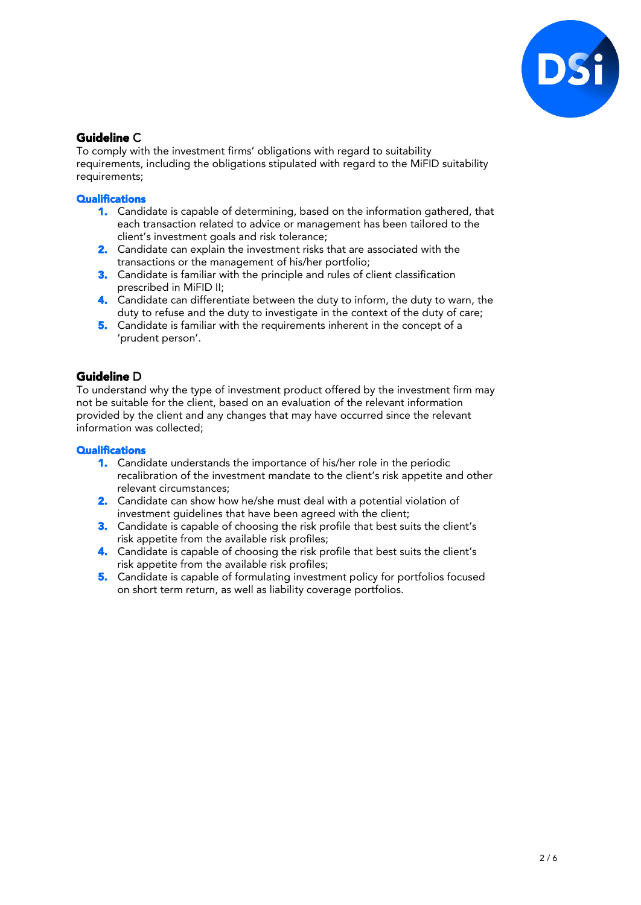

# Guideline C

To comply with the investment firms' obligations with regard to suitability requirements, including the obligations stipulated with regard to the MiFID suitability requirements;

### **Qualifications**

- 1. Candidate is capable of determining, based on the information gathered, that each transaction related to advice or management has been tailored to the client's investment goals and risk tolerance;
- 2. Candidate can explain the investment risks that are associated with the transactions or the management of his/her portfolio;
- 3. Candidate is familiar with the principle and rules of client classification prescribed in MiFID II;
- 4. Candidate can differentiate between the duty to inform, the duty to warn, the duty to refuse and the duty to investigate in the context of the duty of care;
- 5. Candidate is familiar with the requirements inherent in the concept of a 'prudent person'.

# Guideline D

To understand why the type of investment product offered by the investment firm may not be suitable for the client, based on an evaluation of the relevant information provided by the client and any changes that may have occurred since the relevant information was collected;

- 1. Candidate understands the importance of his/her role in the periodic recalibration of the investment mandate to the client's risk appetite and other relevant circumstances;
- 2. Candidate can show how he/she must deal with a potential violation of investment guidelines that have been agreed with the client;
- 3. Candidate is capable of choosing the risk profile that best suits the client's risk appetite from the available risk profiles;
- 4. Candidate is capable of choosing the risk profile that best suits the client's risk appetite from the available risk profiles;
- 5. Candidate is capable of formulating investment policy for portfolios focused on short term return, as well as liability coverage portfolios.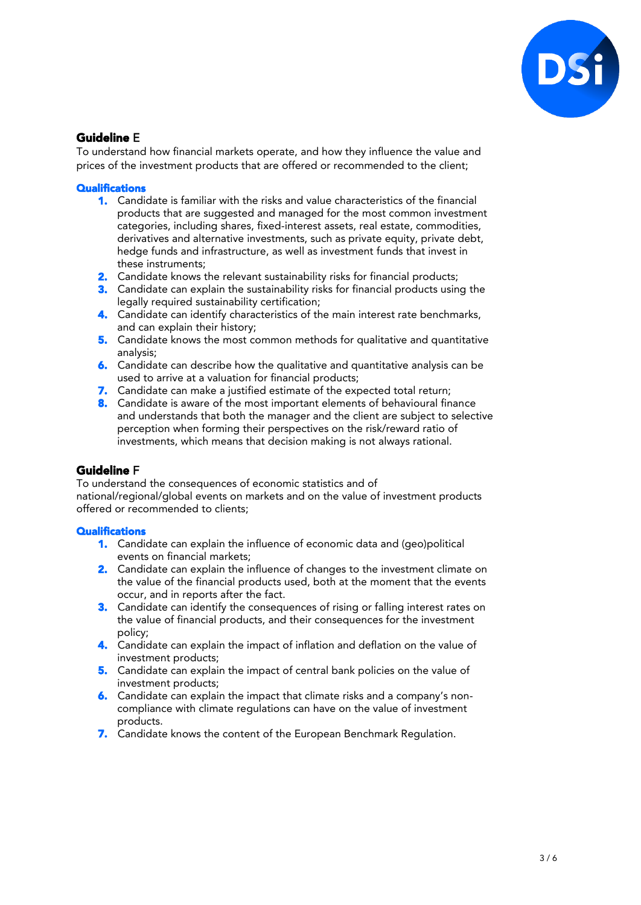

# Guideline E

To understand how financial markets operate, and how they influence the value and prices of the investment products that are offered or recommended to the client;

#### **Qualifications**

- 1. Candidate is familiar with the risks and value characteristics of the financial products that are suggested and managed for the most common investment categories, including shares, fixed-interest assets, real estate, commodities, derivatives and alternative investments, such as private equity, private debt, hedge funds and infrastructure, as well as investment funds that invest in these instruments;
- **2.** Candidate knows the relevant sustainability risks for financial products;
- **3.** Candidate can explain the sustainability risks for financial products using the legally required sustainability certification;
- 4. Candidate can identify characteristics of the main interest rate benchmarks, and can explain their history;
- 5. Candidate knows the most common methods for qualitative and quantitative analysis;
- 6. Candidate can describe how the qualitative and quantitative analysis can be used to arrive at a valuation for financial products;
- 7. Candidate can make a justified estimate of the expected total return;
- 8. Candidate is aware of the most important elements of behavioural finance and understands that both the manager and the client are subject to selective perception when forming their perspectives on the risk/reward ratio of investments, which means that decision making is not always rational.

# Guideline F

To understand the consequences of economic statistics and of national/regional/global events on markets and on the value of investment products offered or recommended to clients;

- 1. Candidate can explain the influence of economic data and (geo)political events on financial markets;
- 2. Candidate can explain the influence of changes to the investment climate on the value of the financial products used, both at the moment that the events occur, and in reports after the fact.
- 3. Candidate can identify the consequences of rising or falling interest rates on the value of financial products, and their consequences for the investment policy;
- 4. Candidate can explain the impact of inflation and deflation on the value of investment products;
- 5. Candidate can explain the impact of central bank policies on the value of investment products;
- 6. Candidate can explain the impact that climate risks and a company's noncompliance with climate regulations can have on the value of investment products.
- 7. Candidate knows the content of the European Benchmark Regulation.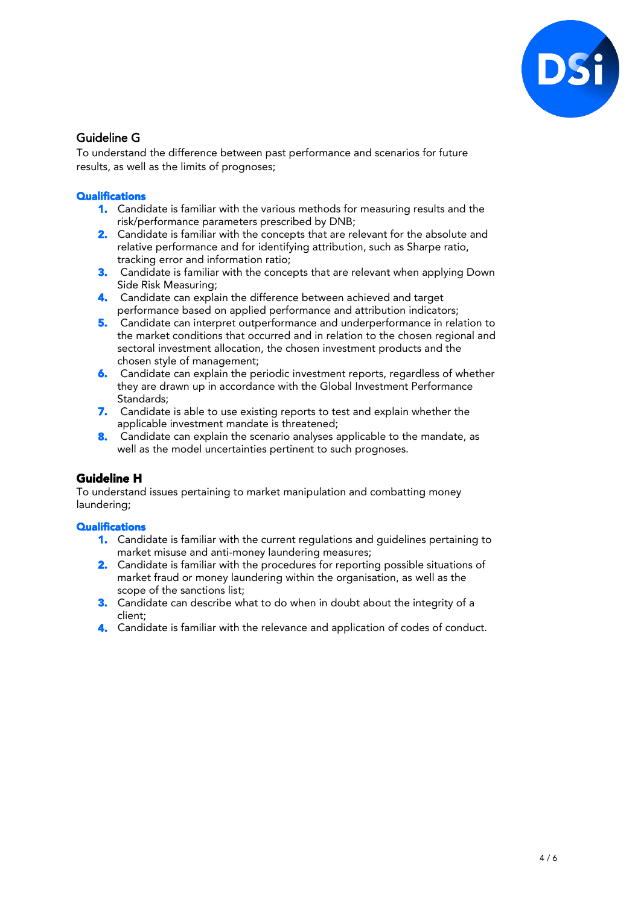

# Guideline G

To understand the difference between past performance and scenarios for future results, as well as the limits of prognoses;

### **Qualifications**

- 1. Candidate is familiar with the various methods for measuring results and the risk/performance parameters prescribed by DNB;
- 2. Candidate is familiar with the concepts that are relevant for the absolute and relative performance and for identifying attribution, such as Sharpe ratio, tracking error and information ratio;
- 3. Candidate is familiar with the concepts that are relevant when applying Down Side Risk Measuring;
- 4. Candidate can explain the difference between achieved and target performance based on applied performance and attribution indicators;
- 5. Candidate can interpret outperformance and underperformance in relation to the market conditions that occurred and in relation to the chosen regional and sectoral investment allocation, the chosen investment products and the chosen style of management;
- 6. Candidate can explain the periodic investment reports, regardless of whether they are drawn up in accordance with the Global Investment Performance Standards;
- 7. Candidate is able to use existing reports to test and explain whether the applicable investment mandate is threatened;
- 8. Candidate can explain the scenario analyses applicable to the mandate, as well as the model uncertainties pertinent to such prognoses.

# Guideline H

To understand issues pertaining to market manipulation and combatting money laundering;

- 1. Candidate is familiar with the current regulations and guidelines pertaining to market misuse and anti-money laundering measures;
- 2. Candidate is familiar with the procedures for reporting possible situations of market fraud or money laundering within the organisation, as well as the scope of the sanctions list;
- 3. Candidate can describe what to do when in doubt about the integrity of a client;
- 4. Candidate is familiar with the relevance and application of codes of conduct.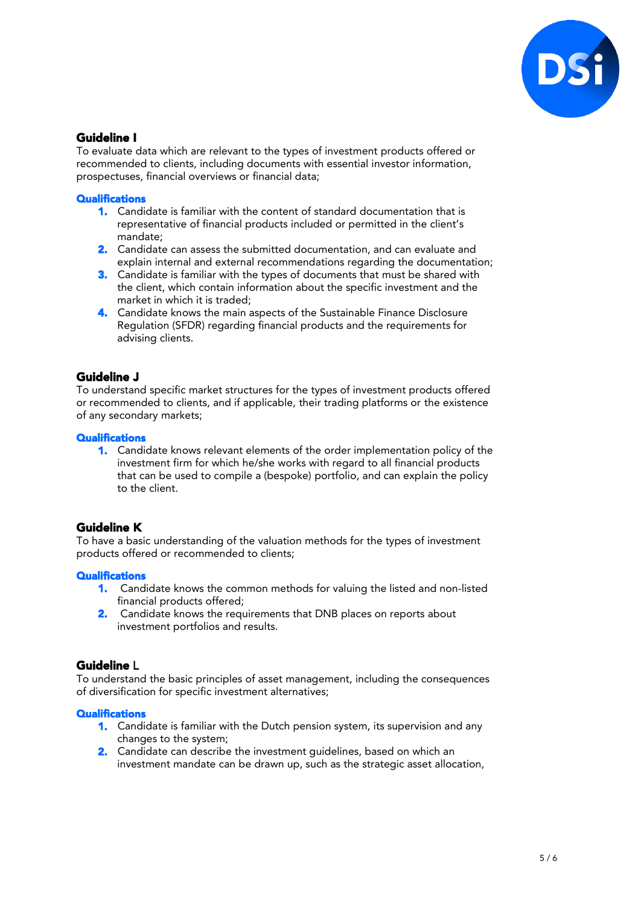

# Guideline I

To evaluate data which are relevant to the types of investment products offered or recommended to clients, including documents with essential investor information, prospectuses, financial overviews or financial data;

#### **Qualifications**

- 1. Candidate is familiar with the content of standard documentation that is representative of financial products included or permitted in the client's mandate;
- 2. Candidate can assess the submitted documentation, and can evaluate and explain internal and external recommendations regarding the documentation;
- **3.** Candidate is familiar with the types of documents that must be shared with the client, which contain information about the specific investment and the market in which it is traded;
- 4. Candidate knows the main aspects of the Sustainable Finance Disclosure Regulation (SFDR) regarding financial products and the requirements for advising clients.

# Guideline J

To understand specific market structures for the types of investment products offered or recommended to clients, and if applicable, their trading platforms or the existence of any secondary markets;

#### **Qualifications**

1. Candidate knows relevant elements of the order implementation policy of the investment firm for which he/she works with regard to all financial products that can be used to compile a (bespoke) portfolio, and can explain the policy to the client.

# Guideline K

To have a basic understanding of the valuation methods for the types of investment products offered or recommended to clients;

#### **Qualifications**

- 1. Candidate knows the common methods for valuing the listed and non-listed financial products offered;
- 2. Candidate knows the requirements that DNB places on reports about investment portfolios and results.

# Guideline L

To understand the basic principles of asset management, including the consequences of diversification for specific investment alternatives;

- 1. Candidate is familiar with the Dutch pension system, its supervision and any changes to the system;
- 2. Candidate can describe the investment quidelines, based on which an investment mandate can be drawn up, such as the strategic asset allocation,